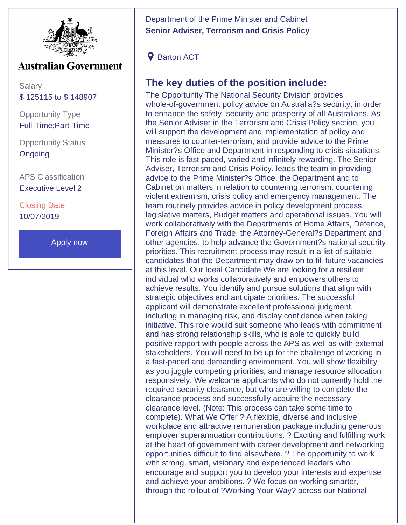

## **Australian Government**

Salary \$ 125115 to \$ 148907

Opportunity Type Full-Time;Part-Time

Opportunity Status **Ongoing** 

APS Classification Executive Level 2

Closing Date 10/07/2019

[Apply now](http://www.dpmc.gov.au/pmc/careers)

Department of the Prime Minister and Cabinet **Senior Adviser, Terrorism and Crisis Policy**

**9** Barton ACT

## **The key duties of the position include:**

The Opportunity The National Security Division provides whole-of-government policy advice on Australia?s security, in order to enhance the safety, security and prosperity of all Australians. As the Senior Adviser in the Terrorism and Crisis Policy section, you will support the development and implementation of policy and measures to counter-terrorism, and provide advice to the Prime Minister?s Office and Department in responding to crisis situations. This role is fast-paced, varied and infinitely rewarding. The Senior Adviser, Terrorism and Crisis Policy, leads the team in providing advice to the Prime Minister?s Office, the Department and to Cabinet on matters in relation to countering terrorism, countering violent extremism, crisis policy and emergency management. The team routinely provides advice in policy development process, legislative matters, Budget matters and operational issues. You will work collaboratively with the Departments of Home Affairs, Defence, Foreign Affairs and Trade, the Attorney-General?s Department and other agencies, to help advance the Government?s national security priorities. This recruitment process may result in a list of suitable candidates that the Department may draw on to fill future vacancies at this level. Our Ideal Candidate We are looking for a resilient individual who works collaboratively and empowers others to achieve results. You identify and pursue solutions that align with strategic objectives and anticipate priorities. The successful applicant will demonstrate excellent professional judgment, including in managing risk, and display confidence when taking initiative. This role would suit someone who leads with commitment and has strong relationship skills, who is able to quickly build positive rapport with people across the APS as well as with external stakeholders. You will need to be up for the challenge of working in a fast-paced and demanding environment. You will show flexibility as you juggle competing priorities, and manage resource allocation responsively. We welcome applicants who do not currently hold the required security clearance, but who are willing to complete the clearance process and successfully acquire the necessary clearance level. (Note: This process can take some time to complete). What We Offer ? A flexible, diverse and inclusive workplace and attractive remuneration package including generous employer superannuation contributions. ? Exciting and fulfilling work at the heart of government with career development and networking opportunities difficult to find elsewhere. ? The opportunity to work with strong, smart, visionary and experienced leaders who encourage and support you to develop your interests and expertise and achieve your ambitions. ? We focus on working smarter, through the rollout of ?Working Your Way? across our National